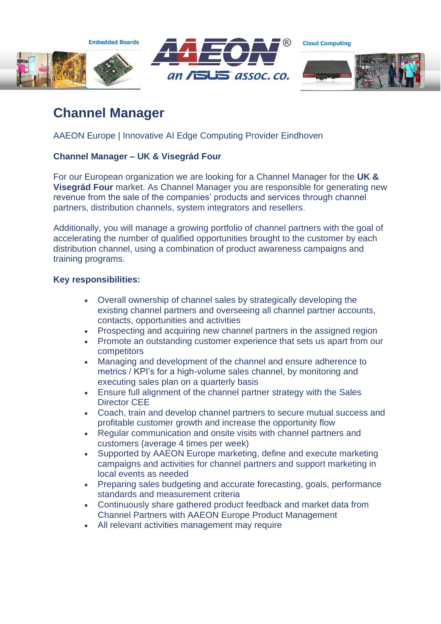**Embedded Boards** 





**Cloud Computing** 



# **Channel Manager**

AAEON Europe | Innovative AI Edge Computing Provider Eindhoven

## **Channel Manager – UK & Visegrád Four**

For our European organization we are looking for a Channel Manager for the **UK & Visegrád Four** market. As Channel Manager you are responsible for generating new revenue from the sale of the companies' products and services through channel partners, distribution channels, system integrators and resellers.

Additionally, you will manage a growing portfolio of channel partners with the goal of accelerating the number of qualified opportunities brought to the customer by each distribution channel, using a combination of product awareness campaigns and training programs.

### **Key responsibilities:**

- Overall ownership of channel sales by strategically developing the existing channel partners and overseeing all channel partner accounts, contacts, opportunities and activities
- Prospecting and acquiring new channel partners in the assigned region
- Promote an outstanding customer experience that sets us apart from our competitors
- Managing and development of the channel and ensure adherence to metrics / KPI's for a high-volume sales channel, by monitoring and executing sales plan on a quarterly basis
- Ensure full alignment of the channel partner strategy with the Sales Director CEE
- Coach, train and develop channel partners to secure mutual success and profitable customer growth and increase the opportunity flow
- Regular communication and onsite visits with channel partners and customers (average 4 times per week)
- Supported by AAEON Europe marketing, define and execute marketing campaigns and activities for channel partners and support marketing in local events as needed
- Preparing sales budgeting and accurate forecasting, goals, performance standards and measurement criteria
- Continuously share gathered product feedback and market data from Channel Partners with AAEON Europe Product Management
- All relevant activities management may require